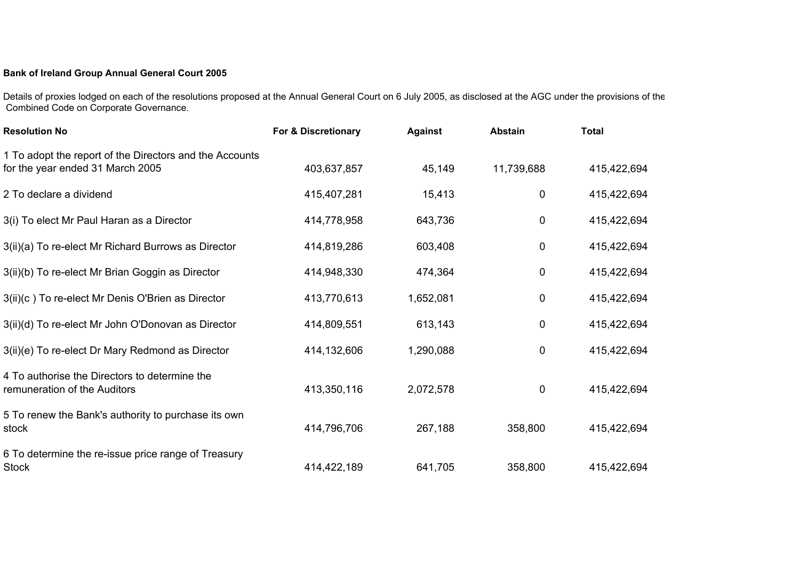## **Bank of Ireland Group Annual General Court 2005**

Details of proxies lodged on each of the resolutions proposed at the Annual General Court on 6 July 2005, as disclosed at the AGC under the provisions of the Combined Code on Corporate Governance.

| <b>Resolution No</b>                                                                        | For & Discretionary | <b>Against</b> | <b>Abstain</b> | <b>Total</b> |
|---------------------------------------------------------------------------------------------|---------------------|----------------|----------------|--------------|
| 1 To adopt the report of the Directors and the Accounts<br>for the year ended 31 March 2005 | 403,637,857         | 45,149         | 11,739,688     | 415,422,694  |
| 2 To declare a dividend                                                                     | 415,407,281         | 15,413         | 0              | 415,422,694  |
| 3(i) To elect Mr Paul Haran as a Director                                                   | 414,778,958         | 643,736        | $\mathbf 0$    | 415,422,694  |
| 3(ii)(a) To re-elect Mr Richard Burrows as Director                                         | 414,819,286         | 603,408        | $\mathbf 0$    | 415,422,694  |
| 3(ii)(b) To re-elect Mr Brian Goggin as Director                                            | 414,948,330         | 474,364        | $\mathbf 0$    | 415,422,694  |
| 3(ii)(c) To re-elect Mr Denis O'Brien as Director                                           | 413,770,613         | 1,652,081      | 0              | 415,422,694  |
| 3(ii)(d) To re-elect Mr John O'Donovan as Director                                          | 414,809,551         | 613,143        | 0              | 415,422,694  |
| 3(ii)(e) To re-elect Dr Mary Redmond as Director                                            | 414,132,606         | 1,290,088      | $\mathbf 0$    | 415,422,694  |
| 4 To authorise the Directors to determine the<br>remuneration of the Auditors               | 413,350,116         | 2,072,578      | 0              | 415,422,694  |
| 5 To renew the Bank's authority to purchase its own<br>stock                                | 414,796,706         | 267,188        | 358,800        | 415,422,694  |
| 6 To determine the re-issue price range of Treasury<br><b>Stock</b>                         | 414,422,189         | 641,705        | 358,800        | 415,422,694  |